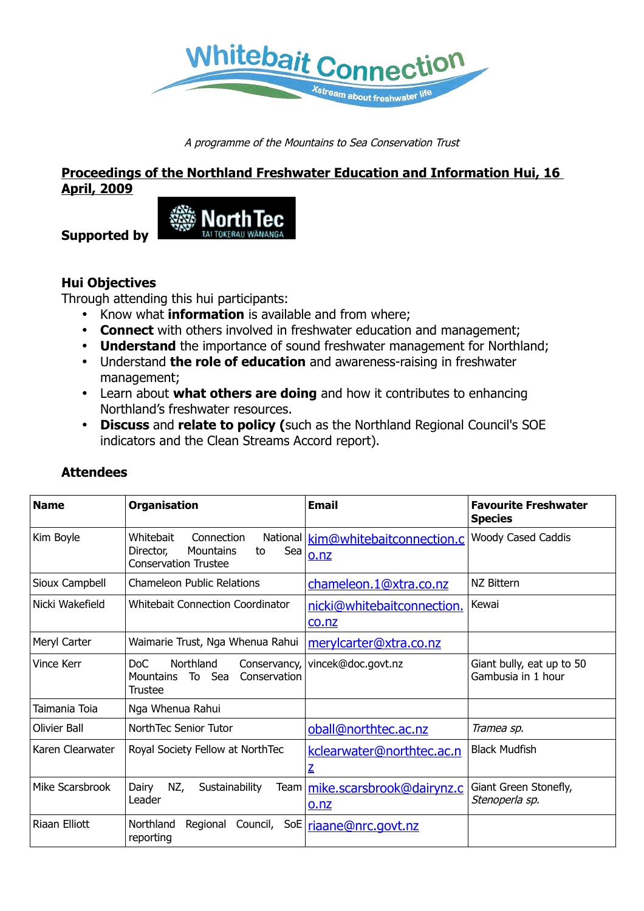

A programme of the Mountains to Sea Conservation Trust

## **Proceedings of the Northland Freshwater Education and Information Hui, 16 April, 2009**



**Supported by**

# **Hui Objectives**

Through attending this hui participants:

- Know what **information** is available and from where;
- **Connect** with others involved in freshwater education and management;
- **Understand** the importance of sound freshwater management for Northland;
- Understand **the role of education** and awareness-raising in freshwater management;
- Learn about **what others are doing** and how it contributes to enhancing Northland's freshwater resources.
- **Discuss** and **relate to policy (**such as the Northland Regional Council's SOE indicators and the Clean Streams Accord report).

| <b>Name</b>         | <b>Organisation</b>                                                                           | <b>Email</b>                               | <b>Favourite Freshwater</b><br><b>Species</b>   |
|---------------------|-----------------------------------------------------------------------------------------------|--------------------------------------------|-------------------------------------------------|
| Kim Boyle           | Connection<br>Whitebait<br>Sea<br>Director,<br>Mountains<br>to<br><b>Conservation Trustee</b> | National kim@whitebaitconnection.c<br>o.nz | <b>Woody Cased Caddis</b>                       |
| Sioux Campbell      | <b>Chameleon Public Relations</b>                                                             | chameleon.1@xtra.co.nz                     | NZ Bittern                                      |
| Nicki Wakefield     | Whitebait Connection Coordinator                                                              | nicki@whitebaitconnection.<br>co.nz        | Kewai                                           |
| Meryl Carter        | Waimarie Trust, Nga Whenua Rahui                                                              | merylcarter@xtra.co.nz                     |                                                 |
| <b>Vince Kerr</b>   | Northland<br>DoC.<br>Conservancy,<br>Conservation<br><b>Mountains</b><br>Sea<br>To<br>Trustee | vincek@doc.govt.nz                         | Giant bully, eat up to 50<br>Gambusia in 1 hour |
| Taimania Toia       | Nga Whenua Rahui                                                                              |                                            |                                                 |
| <b>Olivier Ball</b> | NorthTec Senior Tutor                                                                         | oball@northtec.ac.nz                       | Tramea sp.                                      |
| Karen Clearwater    | Royal Society Fellow at NorthTec                                                              | kclearwater@northtec.ac.n<br>$\mathbf{Z}$  | <b>Black Mudfish</b>                            |
| Mike Scarsbrook     | NZ,<br>Dairy<br>Sustainability<br>Leader                                                      | Team   mike.scarsbrook@dairynz.c<br>o.nz   | Giant Green Stonefly,<br>Stenoperla sp.         |
| Riaan Elliott       | Northland<br>Regional Council,<br>SoE<br>reporting                                            | riaane@nrc.govt.nz                         |                                                 |

# **Attendees**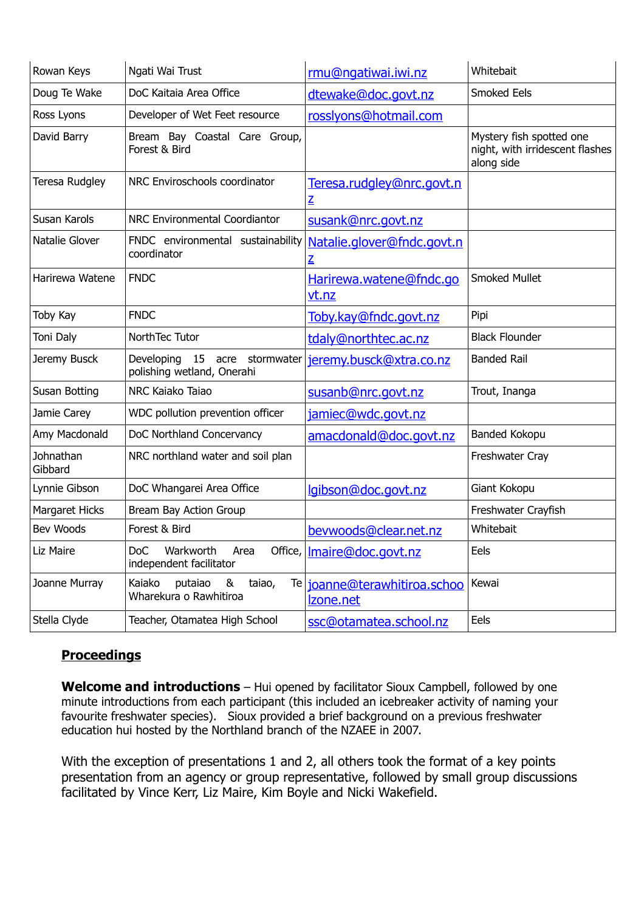| Rowan Keys           | Ngati Wai Trust                                                | rmu@ngatiwai.iwi.nz                        | Whitebait                                                                 |
|----------------------|----------------------------------------------------------------|--------------------------------------------|---------------------------------------------------------------------------|
| Doug Te Wake         | DoC Kaitaia Area Office                                        | dtewake@doc.govt.nz                        | Smoked Eels                                                               |
| Ross Lyons           | Developer of Wet Feet resource                                 | rosslyons@hotmail.com                      |                                                                           |
| David Barry          | Bream Bay Coastal Care Group,<br>Forest & Bird                 |                                            | Mystery fish spotted one<br>night, with irridescent flashes<br>along side |
| Teresa Rudgley       | NRC Enviroschools coordinator                                  | Teresa.rudgley@nrc.govt.n<br>$\mathbf{Z}$  |                                                                           |
| Susan Karols         | NRC Environmental Coordiantor                                  | susank@nrc.govt.nz                         |                                                                           |
| Natalie Glover       | FNDC environmental sustainability<br>coordinator               | Natalie.glover@fndc.govt.n<br>$\mathbf{Z}$ |                                                                           |
| Harirewa Watene      | <b>FNDC</b>                                                    | Harirewa.watene@fndc.go<br>vt.nz           | <b>Smoked Mullet</b>                                                      |
| Toby Kay             | <b>FNDC</b>                                                    | Toby.kay@fndc.govt.nz                      | Pipi                                                                      |
| Toni Daly            | NorthTec Tutor                                                 | tdaly@northtec.ac.nz                       | <b>Black Flounder</b>                                                     |
| Jeremy Busck         | Developing<br>15 acre stormwater<br>polishing wetland, Onerahi | jeremy.busck@xtra.co.nz                    | <b>Banded Rail</b>                                                        |
| Susan Botting        | NRC Kaiako Taiao                                               | susanb@nrc.govt.nz                         | Trout, Inanga                                                             |
| Jamie Carey          | WDC pollution prevention officer                               | jamiec@wdc.govt.nz                         |                                                                           |
| Amy Macdonald        | DoC Northland Concervancy                                      | amacdonald@doc.govt.nz                     | Banded Kokopu                                                             |
| Johnathan<br>Gibbard | NRC northland water and soil plan                              |                                            | Freshwater Cray                                                           |
| Lynnie Gibson        | DoC Whangarei Area Office                                      | lgibson@doc.govt.nz                        | Giant Kokopu                                                              |
| Margaret Hicks       | Bream Bay Action Group                                         |                                            | Freshwater Crayfish                                                       |
| Bev Woods            | Forest & Bird                                                  | beywoods@clear.net.nz                      | Whitebait                                                                 |
| Liz Maire            | Warkworth<br>DoC<br>Area<br>independent facilitator            | Office,   Imaire@doc.govt.nz               | Eels                                                                      |
| Joanne Murray        | Kaiako<br>putaiao<br>&<br>taiao,<br>Wharekura o Rawhitiroa     | Te joanne@terawhitiroa.schoo<br>Izone.net  | Kewai                                                                     |
| Stella Clyde         | Teacher, Otamatea High School                                  | ssc@otamatea.school.nz                     | Eels                                                                      |

# **Proceedings**

**Welcome and introductions** – Hui opened by facilitator Sioux Campbell, followed by one minute introductions from each participant (this included an icebreaker activity of naming your favourite freshwater species). Sioux provided a brief background on a previous freshwater education hui hosted by the Northland branch of the NZAEE in 2007.

With the exception of presentations 1 and 2, all others took the format of a key points presentation from an agency or group representative, followed by small group discussions facilitated by Vince Kerr, Liz Maire, Kim Boyle and Nicki Wakefield.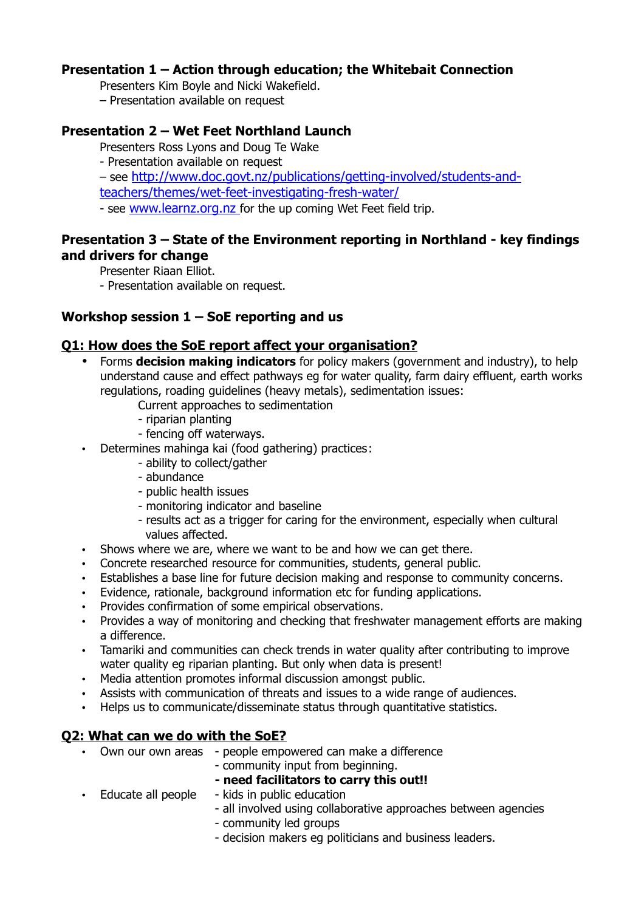### **Presentation 1 – Action through education; the Whitebait Connection**

Presenters Kim Boyle and Nicki Wakefield.

– Presentation available on request

### **Presentation 2 – Wet Feet Northland Launch**

- Presenters Ross Lyons and Doug Te Wake
- Presentation available on request
- see [http://www.doc.govt.nz/publications/getting-involved/students-and-](http://www.doc.govt.nz/publications/getting-involved/students-and-teachers/themes/wet-feet-investigating-fresh-water/)

[teachers/themes/wet-feet-investigating-fresh-water/](http://www.doc.govt.nz/publications/getting-involved/students-and-teachers/themes/wet-feet-investigating-fresh-water/)

- see [www.learnz.org.nz](http://www.learnz.org.nz/) for the up coming Wet Feet field trip.

## **Presentation 3 – State of the Environment reporting in Northland - key findings and drivers for change**

Presenter Riaan Elliot.

- Presentation available on request.

### **Workshop session 1 – SoE reporting and us**

### **Q1: How does the SoE report affect your organisation?**

- Forms **decision making indicators** for policy makers (government and industry), to help understand cause and effect pathways eg for water quality, farm dairy effluent, earth works regulations, roading guidelines (heavy metals), sedimentation issues:
	- Current approaches to sedimentation
	- riparian planting
	- fencing off waterways.
- Determines mahinga kai (food gathering) practices:
	- ability to collect/gather
	- abundance
	- public health issues
	- monitoring indicator and baseline
	- results act as a trigger for caring for the environment, especially when cultural values affected.
- Shows where we are, where we want to be and how we can get there.
- Concrete researched resource for communities, students, general public.
- Establishes a base line for future decision making and response to community concerns.
- Evidence, rationale, background information etc for funding applications.
- Provides confirmation of some empirical observations.
- Provides a way of monitoring and checking that freshwater management efforts are making a difference.
- Tamariki and communities can check trends in water quality after contributing to improve water quality eg riparian planting. But only when data is present!
- Media attention promotes informal discussion amongst public.
- Assists with communication of threats and issues to a wide range of audiences.
- Helps us to communicate/disseminate status through quantitative statistics.

#### **Q2: What can we do with the SoE?**

- Own our own areas people empowered can make a difference
	- community input from beginning.
	- **- need facilitators to carry this out!!**
- Educate all people kids in public education - all involved using collaborative approaches between agencies
	- community led groups
	- decision makers eg politicians and business leaders.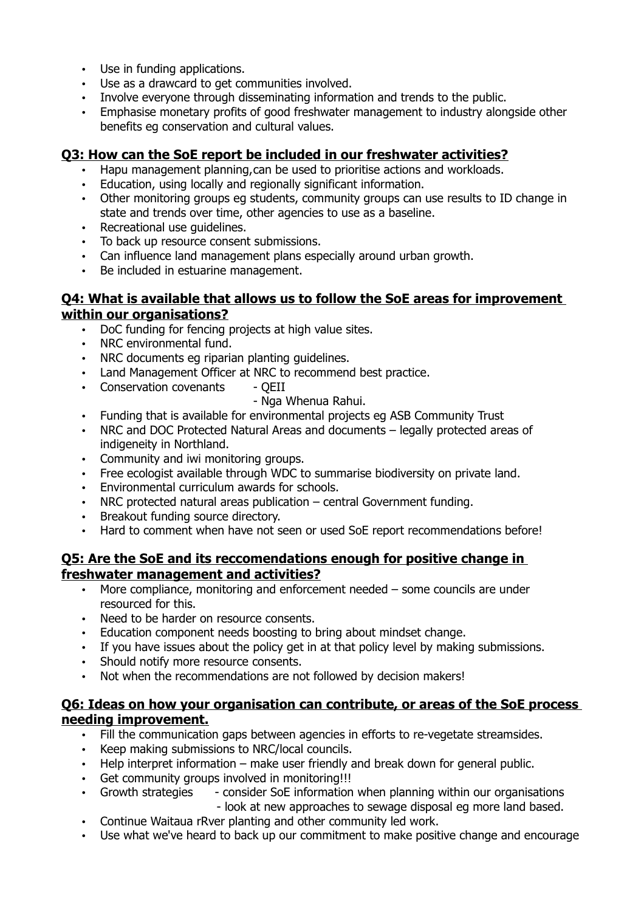- Use in funding applications.
- Use as a drawcard to get communities involved.
- Involve everyone through disseminating information and trends to the public.
- Emphasise monetary profits of good freshwater management to industry alongside other benefits eg conservation and cultural values.

## **Q3: How can the SoE report be included in our freshwater activities?**

- Hapu management planning,can be used to prioritise actions and workloads.
- Education, using locally and regionally significant information.
- Other monitoring groups eg students, community groups can use results to ID change in state and trends over time, other agencies to use as a baseline.
- Recreational use guidelines.
- To back up resource consent submissions.
- Can influence land management plans especially around urban growth.
- Be included in estuarine management.

### **Q4: What is available that allows us to follow the SoE areas for improvement within our organisations?**

- DoC funding for fencing projects at high value sites.
- NRC environmental fund.
- NRC documents eg riparian planting guidelines.
- Land Management Officer at NRC to recommend best practice.
- Conservation covenants OEII
	- Nga Whenua Rahui.
- Funding that is available for environmental projects eg ASB Community Trust
- NRC and DOC Protected Natural Areas and documents legally protected areas of indigeneity in Northland.
- Community and iwi monitoring groups.
- Free ecologist available through WDC to summarise biodiversity on private land.
- Environmental curriculum awards for schools.
- NRC protected natural areas publication central Government funding.
- Breakout funding source directory.
- Hard to comment when have not seen or used SoE report recommendations before!

### **Q5: Are the SoE and its reccomendations enough for positive change in freshwater management and activities?**

- More compliance, monitoring and enforcement needed some councils are under resourced for this.
- Need to be harder on resource consents.
- Education component needs boosting to bring about mindset change.
- If you have issues about the policy get in at that policy level by making submissions.
- Should notify more resource consents.
- Not when the recommendations are not followed by decision makers!

### **Q6: Ideas on how your organisation can contribute, or areas of the SoE process needing improvement.**

- Fill the communication gaps between agencies in efforts to re-vegetate streamsides.
- Keep making submissions to NRC/local councils.
- Help interpret information make user friendly and break down for general public.
- Get community groups involved in monitoring!!!
- Growth strategies consider SoE information when planning within our organisations
	- look at new approaches to sewage disposal eg more land based.
- Continue Waitaua rRver planting and other community led work.
- Use what we've heard to back up our commitment to make positive change and encourage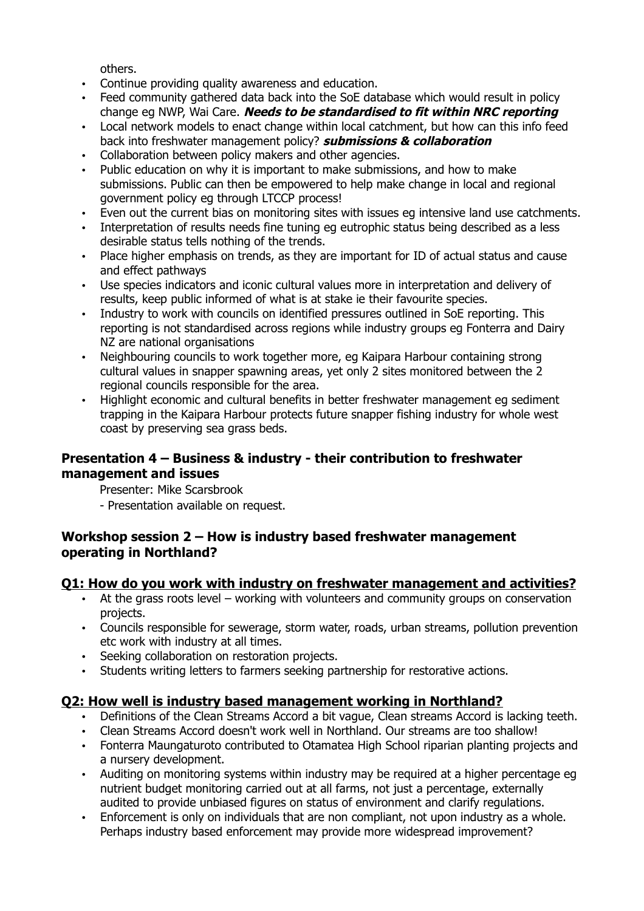others.

- Continue providing quality awareness and education.
- Feed community gathered data back into the SoE database which would result in policy change eg NWP, Wai Care. **Needs to be standardised to fit within NRC reporting**
- Local network models to enact change within local catchment, but how can this info feed back into freshwater management policy? **submissions & collaboration**
- Collaboration between policy makers and other agencies.
- Public education on why it is important to make submissions, and how to make submissions. Public can then be empowered to help make change in local and regional government policy eg through LTCCP process!
- Even out the current bias on monitoring sites with issues eg intensive land use catchments.
- Interpretation of results needs fine tuning eg eutrophic status being described as a less desirable status tells nothing of the trends.
- Place higher emphasis on trends, as they are important for ID of actual status and cause and effect pathways
- Use species indicators and iconic cultural values more in interpretation and delivery of results, keep public informed of what is at stake ie their favourite species.
- Industry to work with councils on identified pressures outlined in SoE reporting. This reporting is not standardised across regions while industry groups eg Fonterra and Dairy NZ are national organisations
- Neighbouring councils to work together more, eg Kaipara Harbour containing strong cultural values in snapper spawning areas, yet only 2 sites monitored between the 2 regional councils responsible for the area.
- Highlight economic and cultural benefits in better freshwater management eg sediment trapping in the Kaipara Harbour protects future snapper fishing industry for whole west coast by preserving sea grass beds.

## **Presentation 4 – Business & industry - their contribution to freshwater management and issues**

Presenter: Mike Scarsbrook

- Presentation available on request.

## **Workshop session 2 – How is industry based freshwater management operating in Northland?**

## **Q1: How do you work with industry on freshwater management and activities?**

- At the grass roots level working with volunteers and community groups on conservation projects.
- Councils responsible for sewerage, storm water, roads, urban streams, pollution prevention etc work with industry at all times.
- Seeking collaboration on restoration projects.
- Students writing letters to farmers seeking partnership for restorative actions.

## **Q2: How well is industry based management working in Northland?**

- Definitions of the Clean Streams Accord a bit vague, Clean streams Accord is lacking teeth.
- Clean Streams Accord doesn't work well in Northland. Our streams are too shallow!
- Fonterra Maungaturoto contributed to Otamatea High School riparian planting projects and a nursery development.
- Auditing on monitoring systems within industry may be required at a higher percentage eg nutrient budget monitoring carried out at all farms, not just a percentage, externally audited to provide unbiased figures on status of environment and clarify regulations.
- Enforcement is only on individuals that are non compliant, not upon industry as a whole. Perhaps industry based enforcement may provide more widespread improvement?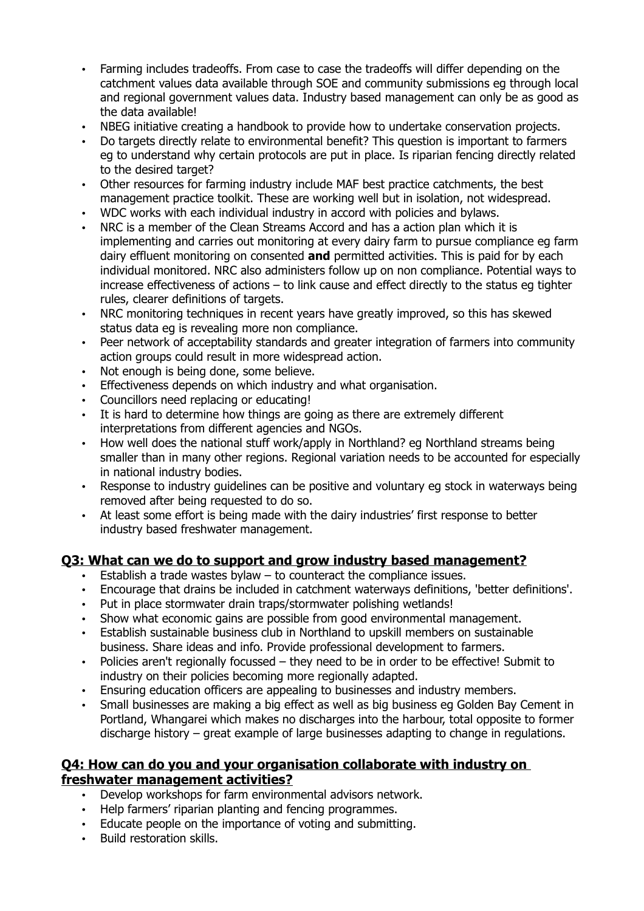- Farming includes tradeoffs. From case to case the tradeoffs will differ depending on the catchment values data available through SOE and community submissions eg through local and regional government values data. Industry based management can only be as good as the data available!
- NBEG initiative creating a handbook to provide how to undertake conservation projects.
- Do targets directly relate to environmental benefit? This question is important to farmers eg to understand why certain protocols are put in place. Is riparian fencing directly related to the desired target?
- Other resources for farming industry include MAF best practice catchments, the best management practice toolkit. These are working well but in isolation, not widespread.
- WDC works with each individual industry in accord with policies and bylaws.
- NRC is a member of the Clean Streams Accord and has a action plan which it is implementing and carries out monitoring at every dairy farm to pursue compliance eg farm dairy effluent monitoring on consented **and** permitted activities. This is paid for by each individual monitored. NRC also administers follow up on non compliance. Potential ways to increase effectiveness of actions – to link cause and effect directly to the status eg tighter rules, clearer definitions of targets.
- NRC monitoring techniques in recent years have greatly improved, so this has skewed status data eg is revealing more non compliance.
- Peer network of acceptability standards and greater integration of farmers into community action groups could result in more widespread action.
- Not enough is being done, some believe.
- Effectiveness depends on which industry and what organisation.
- Councillors need replacing or educating!
- It is hard to determine how things are going as there are extremely different interpretations from different agencies and NGOs.
- How well does the national stuff work/apply in Northland? eg Northland streams being smaller than in many other regions. Regional variation needs to be accounted for especially in national industry bodies.
- Response to industry quidelines can be positive and voluntary eg stock in waterways being removed after being requested to do so.
- At least some effort is being made with the dairy industries' first response to better industry based freshwater management.

## **Q3: What can we do to support and grow industry based management?**

- Establish a trade wastes bylaw to counteract the compliance issues.
- Encourage that drains be included in catchment waterways definitions, 'better definitions'.
- Put in place stormwater drain traps/stormwater polishing wetlands!
- Show what economic gains are possible from good environmental management.
- Establish sustainable business club in Northland to upskill members on sustainable business. Share ideas and info. Provide professional development to farmers.
- Policies aren't regionally focussed they need to be in order to be effective! Submit to industry on their policies becoming more regionally adapted.
- Ensuring education officers are appealing to businesses and industry members.
- Small businesses are making a big effect as well as big business eg Golden Bay Cement in Portland, Whangarei which makes no discharges into the harbour, total opposite to former discharge history – great example of large businesses adapting to change in regulations.

### **Q4: How can do you and your organisation collaborate with industry on freshwater management activities?**

- Develop workshops for farm environmental advisors network.
- Help farmers' riparian planting and fencing programmes.
- Educate people on the importance of voting and submitting.
- Build restoration skills.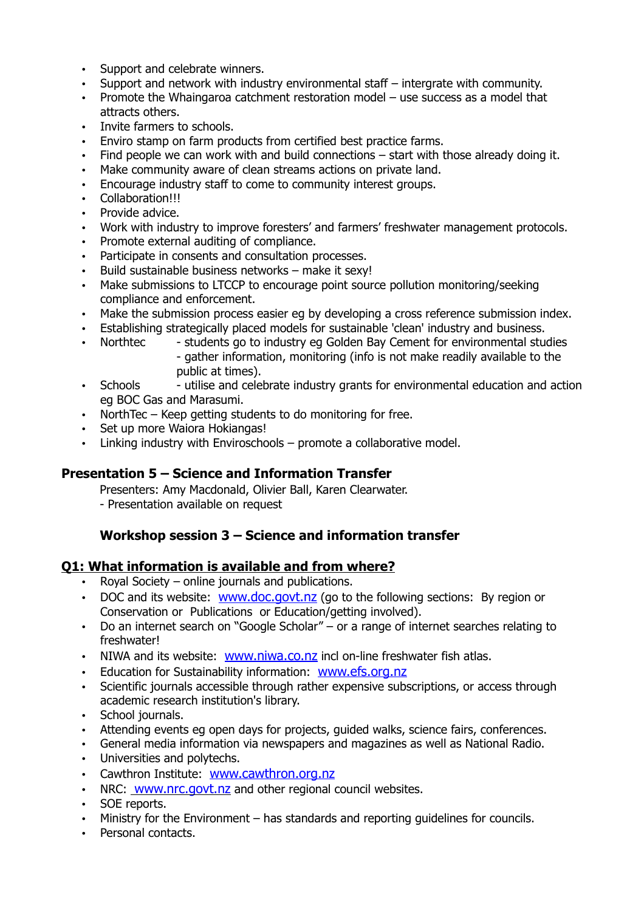- Support and celebrate winners.
- Support and network with industry environmental staff intergrate with community.
- Promote the Whaingaroa catchment restoration model use success as a model that attracts others.
- Invite farmers to schools.
- Enviro stamp on farm products from certified best practice farms.
- Find people we can work with and build connections start with those already doing it.
- Make community aware of clean streams actions on private land.
- Encourage industry staff to come to community interest groups.
- Collaboration!!!
- Provide advice.
- Work with industry to improve foresters' and farmers' freshwater management protocols.
- Promote external auditing of compliance.
- Participate in consents and consultation processes.
- Build sustainable business networks make it sexy!
- Make submissions to LTCCP to encourage point source pollution monitoring/seeking compliance and enforcement.
- Make the submission process easier eg by developing a cross reference submission index.
- Establishing strategically placed models for sustainable 'clean' industry and business.
- Northtec students go to industry eg Golden Bay Cement for environmental studies - gather information, monitoring (info is not make readily available to the public at times).
- Schools utilise and celebrate industry grants for environmental education and action eg BOC Gas and Marasumi.
- NorthTec Keep getting students to do monitoring for free.
- Set up more Waiora Hokiangas!
- Linking industry with Enviroschools promote a collaborative model.

#### **Presentation 5 – Science and Information Transfer**

Presenters: Amy Macdonald, Olivier Ball, Karen Clearwater.

- Presentation available on request

## **Workshop session 3 – Science and information transfer**

#### **Q1: What information is available and from where?**

- Royal Society online journals and publications.
- DOC and its website: [www.doc.govt.nz](http://www.doc.govt.nz/) (go to the following sections: By region or Conservation or Publications or Education/getting involved).
- Do an internet search on "Google Scholar" or a range of internet searches relating to freshwater!
- NIWA and its website: [www.niwa.co.nz](http://www.niwa.co.nz/) incl on-line freshwater fish atlas.
- Education for Sustainability information: [www.efs.org.nz](http://www.efs.org.nz/)
- Scientific journals accessible through rather expensive subscriptions, or access through academic research institution's library.
- School journals.
- Attending events eg open days for projects, guided walks, science fairs, conferences.
- General media information via newspapers and magazines as well as National Radio.
- Universities and polytechs.
- Cawthron Institute: [www.cawthron.org.nz](http://www.cawthron.org.nz/)
- NRC: [www.nrc.govt.nz](http://www.nrc.govt.nz/) and other regional council websites.
- SOE reports.
- Ministry for the Environment has standards and reporting guidelines for councils.
- Personal contacts.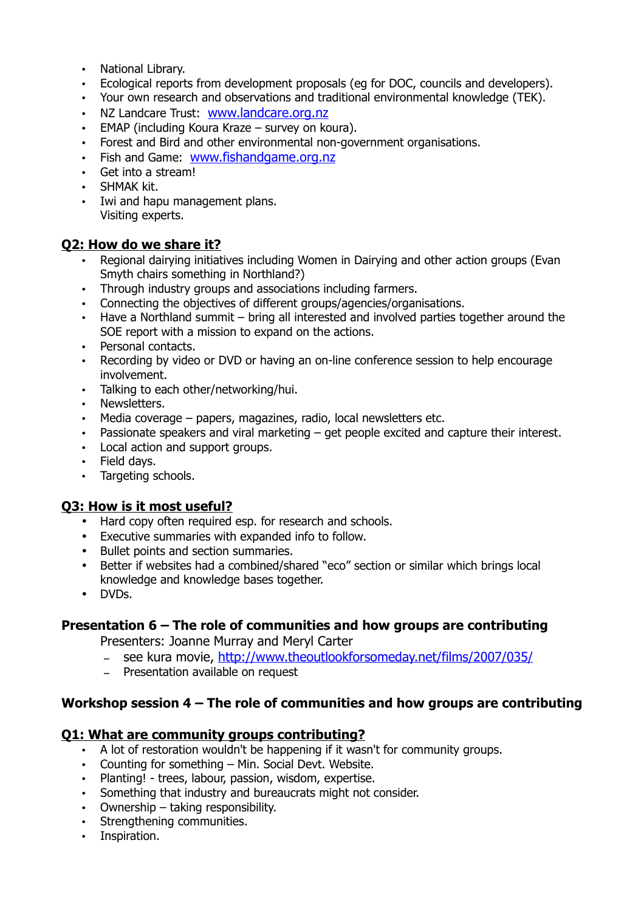- National Library.
- Ecological reports from development proposals (eg for DOC, councils and developers).
- Your own research and observations and traditional environmental knowledge (TEK).
- NZ Landcare Trust: [www.landcare.org.nz](http://www.landcare.org.nz/)
- EMAP (including Koura Kraze survey on koura).
- Forest and Bird and other environmental non-government organisations.
- Fish and Game: [www.fishandgame.org.nz](http://www.fishandgame.org.nz/)
- Get into a stream!
- SHMAK kit.
- Iwi and hapu management plans. Visiting experts.

## **Q2: How do we share it?**

- Regional dairying initiatives including Women in Dairying and other action groups (Evan Smyth chairs something in Northland?)
- Through industry groups and associations including farmers.
- Connecting the objectives of different groups/agencies/organisations.
- Have a Northland summit bring all interested and involved parties together around the SOE report with a mission to expand on the actions.
- Personal contacts.
- Recording by video or DVD or having an on-line conference session to help encourage involvement.
- Talking to each other/networking/hui.
- Newsletters.
- Media coverage papers, magazines, radio, local newsletters etc.
- Passionate speakers and viral marketing get people excited and capture their interest.
- Local action and support groups.
- Field days.
- Targeting schools.

## **Q3: How is it most useful?**

- Hard copy often required esp. for research and schools.
- Executive summaries with expanded info to follow.
- Bullet points and section summaries.
- Better if websites had a combined/shared "eco" section or similar which brings local knowledge and knowledge bases together.
- DVDs.

## **Presentation 6 – The role of communities and how groups are contributing**

Presenters: Joanne Murray and Meryl Carter

- see kura movie, <http://www.theoutlookforsomeday.net/films/2007/035/>
- Presentation available on request

## **Workshop session 4 – The role of communities and how groups are contributing**

## **Q1: What are community groups contributing?**

- A lot of restoration wouldn't be happening if it wasn't for community groups.
- Counting for something Min. Social Devt. Website.
- Planting! trees, labour, passion, wisdom, expertise.
- Something that industry and bureaucrats might not consider.
- Ownership taking responsibility.
- Strengthening communities.
- Inspiration.